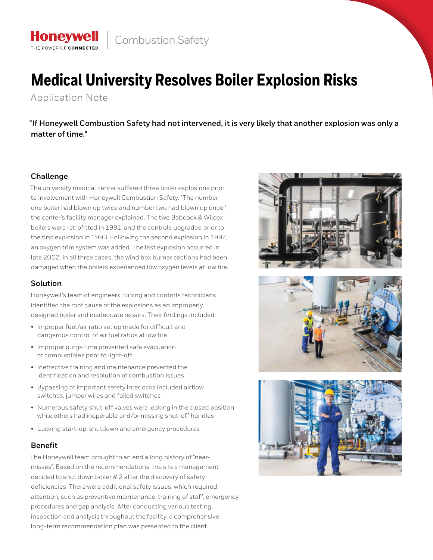

# **Medical University Resolves Boiler Explosion Risks**

Application Note

THE POWER OF CONNECTE

**"If Honeywell Combustion Safety had not intervened, it is very likely that another explosion was only a matter of time."**

# **Challenge**

The university medical center suffered three boiler explosions prior to involvement with Honeywell Combustion Safety. "The number one boiler had blown up twice and number two had blown up once," the center's facility manager explained. The two Babcock & Wilcox boilers were retrofitted in 1991, and the controls upgraded prior to the first explosion in 1993. Following the second explosion in 1997, an oxygen trim system was added. The last explosion occurred in late 2002. In all three cases, the wind box burner sections had been damaged when the boilers experienced low oxygen levels at low fire.

# **Solution**

Honeywell's team of engineers, tuning and controls technicians identified the root cause of the explosions as an improperly designed boiler and inadequate repairs. Their findings included:

- Improper fuel/air ratio set up made for difficult and dangerous control of air fuel ratios at low fire
- Improper purge time prevented safe evacuation of combustibles prior to light-off
- Ineffective training and maintenance prevented the identification and resolution of combustion issues
- Bypassing of important safety interlocks included airflow switches, jumper wires and failed switches
- Numerous safety shut-off valves were leaking in the closed position while others had inoperable and/or missing shut-off handles
- Lacking start-up, shutdown and emergency procedures

## **Benefit**

The Honeywell team brought to an end a long history of "nearmisses". Based on the recommendations, the site's management decided to shut down boiler # 2 after the discovery of safety deficiencies. There were additional safety issues, which required attention, such as preventive maintenance, training of staff, emergency procedures and gap analysis. After conducting various testing, inspection and analysis throughout the facility, a comprehensive long-term recommendation plan was presented to the client.